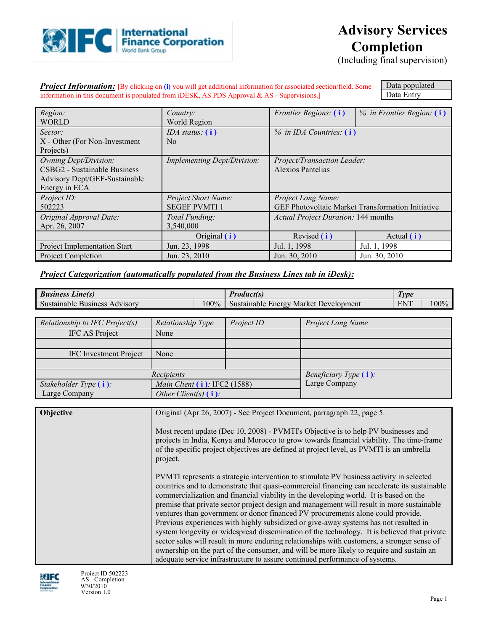

# **Advisory Services Completion**

(Including final supervision)

**Project Information:** [By clicking on (i) you will get additional information for associated section/field. Some information in this document is populated from iDESK, AS PDS Approval & AS - Supervisions.]

Data populated Data Entry

| Region:                        | Country:                    | <i>Frontier Regions:</i> (i)               | $%$ in Frontier Region: $(i)$                            |  |
|--------------------------------|-----------------------------|--------------------------------------------|----------------------------------------------------------|--|
| <b>WORLD</b>                   | World Region                |                                            |                                                          |  |
| Sector:                        | IDA status: $(i)$           | $\%$ in IDA Countries: (i)                 |                                                          |  |
| X - Other (For Non-Investment) | N <sub>0</sub>              |                                            |                                                          |  |
| Projects)                      |                             |                                            |                                                          |  |
| <b>Owning Dept/Division:</b>   | Implementing Dept/Division: | Project/Transaction Leader:                |                                                          |  |
| CSBG2 - Sustainable Business   |                             | Alexios Pantelias                          |                                                          |  |
| Advisory Dept/GEF-Sustainable  |                             |                                            |                                                          |  |
| Energy in ECA                  |                             |                                            |                                                          |  |
| Project ID:                    | <b>Project Short Name:</b>  | Project Long Name:                         |                                                          |  |
| 502223                         | <b>SEGEF PVMTI1</b>         |                                            | <b>GEF Photovoltaic Market Transformation Initiative</b> |  |
| Original Approval Date:        | Total Funding:              | <b>Actual Project Duration: 144 months</b> |                                                          |  |
| Apr. 26, 2007                  | 3,540,000                   |                                            |                                                          |  |
|                                | Original (i)                | Revised (i)                                | Actual $(i)$                                             |  |
| Project Implementation Start   | Jun. 23, 1998               | Jul. 1, 1998<br>Jul. 1, 1998               |                                                          |  |
| Project Completion             | Jun. 23, 2010               | Jun. 30, 2010                              | Jun. 30, 2010                                            |  |

### *Project Categorization (automatically populated from the Business Lines tab in iDesk):*

| <b>Business Line(s)</b>        |                                                                                                                                                                                                                                                                                        | <b>Product(s)</b>                     |                                                                                                                                                                                                                                                                                                                                                                                                                                                                                                                                                                                                                                                                                                                                                                                                                                                                                                                                  | <b>Type</b>        |  |
|--------------------------------|----------------------------------------------------------------------------------------------------------------------------------------------------------------------------------------------------------------------------------------------------------------------------------------|---------------------------------------|----------------------------------------------------------------------------------------------------------------------------------------------------------------------------------------------------------------------------------------------------------------------------------------------------------------------------------------------------------------------------------------------------------------------------------------------------------------------------------------------------------------------------------------------------------------------------------------------------------------------------------------------------------------------------------------------------------------------------------------------------------------------------------------------------------------------------------------------------------------------------------------------------------------------------------|--------------------|--|
| Sustainable Business Advisory  | 100%                                                                                                                                                                                                                                                                                   | Sustainable Energy Market Development |                                                                                                                                                                                                                                                                                                                                                                                                                                                                                                                                                                                                                                                                                                                                                                                                                                                                                                                                  | 100%<br><b>ENT</b> |  |
|                                |                                                                                                                                                                                                                                                                                        |                                       |                                                                                                                                                                                                                                                                                                                                                                                                                                                                                                                                                                                                                                                                                                                                                                                                                                                                                                                                  |                    |  |
| Relationship to IFC Project(s) | Relationship Type                                                                                                                                                                                                                                                                      | Project ID                            | Project Long Name                                                                                                                                                                                                                                                                                                                                                                                                                                                                                                                                                                                                                                                                                                                                                                                                                                                                                                                |                    |  |
| IFC AS Project                 | None                                                                                                                                                                                                                                                                                   |                                       |                                                                                                                                                                                                                                                                                                                                                                                                                                                                                                                                                                                                                                                                                                                                                                                                                                                                                                                                  |                    |  |
|                                |                                                                                                                                                                                                                                                                                        |                                       |                                                                                                                                                                                                                                                                                                                                                                                                                                                                                                                                                                                                                                                                                                                                                                                                                                                                                                                                  |                    |  |
| <b>IFC</b> Investment Project  | None                                                                                                                                                                                                                                                                                   |                                       |                                                                                                                                                                                                                                                                                                                                                                                                                                                                                                                                                                                                                                                                                                                                                                                                                                                                                                                                  |                    |  |
|                                |                                                                                                                                                                                                                                                                                        |                                       |                                                                                                                                                                                                                                                                                                                                                                                                                                                                                                                                                                                                                                                                                                                                                                                                                                                                                                                                  |                    |  |
|                                | Recipients                                                                                                                                                                                                                                                                             |                                       | <i>Beneficiary Type</i> $(i)$ .                                                                                                                                                                                                                                                                                                                                                                                                                                                                                                                                                                                                                                                                                                                                                                                                                                                                                                  |                    |  |
| Stakeholder Type (i)           | Main Client $(i)$ : IFC2 (1588)                                                                                                                                                                                                                                                        |                                       | Large Company                                                                                                                                                                                                                                                                                                                                                                                                                                                                                                                                                                                                                                                                                                                                                                                                                                                                                                                    |                    |  |
| Large Company                  | Other Client(s) $(i)$ :                                                                                                                                                                                                                                                                |                                       |                                                                                                                                                                                                                                                                                                                                                                                                                                                                                                                                                                                                                                                                                                                                                                                                                                                                                                                                  |                    |  |
|                                |                                                                                                                                                                                                                                                                                        |                                       |                                                                                                                                                                                                                                                                                                                                                                                                                                                                                                                                                                                                                                                                                                                                                                                                                                                                                                                                  |                    |  |
| Objective                      |                                                                                                                                                                                                                                                                                        |                                       | Original (Apr 26, 2007) - See Project Document, parragraph 22, page 5.                                                                                                                                                                                                                                                                                                                                                                                                                                                                                                                                                                                                                                                                                                                                                                                                                                                           |                    |  |
|                                | Most recent update (Dec 10, 2008) - PVMTI's Objective is to help PV businesses and<br>projects in India, Kenya and Morocco to grow towards financial viability. The time-frame<br>of the specific project objectives are defined at project level, as PVMTI is an umbrella<br>project. |                                       |                                                                                                                                                                                                                                                                                                                                                                                                                                                                                                                                                                                                                                                                                                                                                                                                                                                                                                                                  |                    |  |
|                                |                                                                                                                                                                                                                                                                                        |                                       | PVMTI represents a strategic intervention to stimulate PV business activity in selected<br>countries and to demonstrate that quasi-commercial financing can accelerate its sustainable<br>commercialization and financial viability in the developing world. It is based on the<br>premise that private sector project design and management will result in more sustainable<br>ventures than government or donor financed PV procurements alone could provide.<br>Previous experiences with highly subsidized or give-away systems has not resulted in<br>system longevity or widespread dissemination of the technology. It is believed that private<br>sector sales will result in more enduring relationships with customers, a stronger sense of<br>ownership on the part of the consumer, and will be more likely to require and sustain an<br>adequate service infrastructure to assure continued performance of systems. |                    |  |

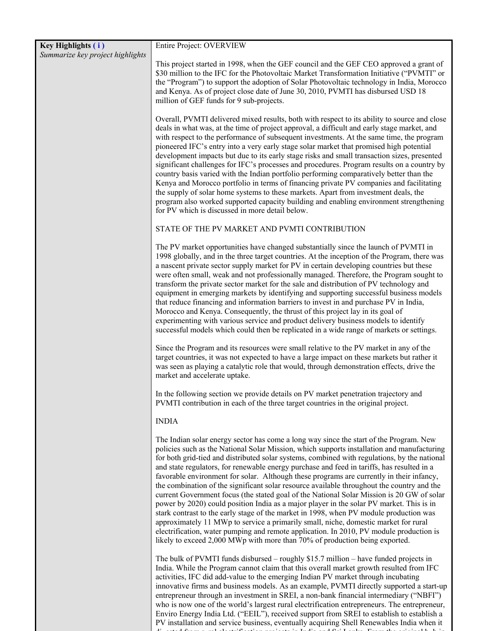| Key Highlights (i)               | <b>Entire Project: OVERVIEW</b>                                                                                                                                                                                                                                                                                                                                                                                                                                                                                                                                                                                                                                                                                                                                                                                                                                                                                                                                                                                                                                                                                                  |
|----------------------------------|----------------------------------------------------------------------------------------------------------------------------------------------------------------------------------------------------------------------------------------------------------------------------------------------------------------------------------------------------------------------------------------------------------------------------------------------------------------------------------------------------------------------------------------------------------------------------------------------------------------------------------------------------------------------------------------------------------------------------------------------------------------------------------------------------------------------------------------------------------------------------------------------------------------------------------------------------------------------------------------------------------------------------------------------------------------------------------------------------------------------------------|
| Summarize key project highlights | This project started in 1998, when the GEF council and the GEF CEO approved a grant of<br>\$30 million to the IFC for the Photovoltaic Market Transformation Initiative ("PVMTI" or<br>the "Program") to support the adoption of Solar Photovoltaic technology in India, Morocco<br>and Kenya. As of project close date of June 30, 2010, PVMTI has disbursed USD 18<br>million of GEF funds for 9 sub-projects.                                                                                                                                                                                                                                                                                                                                                                                                                                                                                                                                                                                                                                                                                                                 |
|                                  | Overall, PVMTI delivered mixed results, both with respect to its ability to source and close<br>deals in what was, at the time of project approval, a difficult and early stage market, and<br>with respect to the performance of subsequent investments. At the same time, the program<br>pioneered IFC's entry into a very early stage solar market that promised high potential<br>development impacts but due to its early stage risks and small transaction sizes, presented<br>significant challenges for IFC's processes and procedures. Program results on a country by<br>country basis varied with the Indian portfolio performing comparatively better than the<br>Kenya and Morocco portfolio in terms of financing private PV companies and facilitating<br>the supply of solar home systems to these markets. Apart from investment deals, the<br>program also worked supported capacity building and enabling environment strengthening<br>for PV which is discussed in more detail below.                                                                                                                        |
|                                  | STATE OF THE PV MARKET AND PVMTI CONTRIBUTION                                                                                                                                                                                                                                                                                                                                                                                                                                                                                                                                                                                                                                                                                                                                                                                                                                                                                                                                                                                                                                                                                    |
|                                  | The PV market opportunities have changed substantially since the launch of PVMTI in<br>1998 globally, and in the three target countries. At the inception of the Program, there was<br>a nascent private sector supply market for PV in certain developing countries but these<br>were often small, weak and not professionally managed. Therefore, the Program sought to<br>transform the private sector market for the sale and distribution of PV technology and<br>equipment in emerging markets by identifying and supporting successful business models<br>that reduce financing and information barriers to invest in and purchase PV in India,<br>Morocco and Kenya. Consequently, the thrust of this project lay in its goal of<br>experimenting with various service and product delivery business models to identify<br>successful models which could then be replicated in a wide range of markets or settings.                                                                                                                                                                                                      |
|                                  | Since the Program and its resources were small relative to the PV market in any of the<br>target countries, it was not expected to have a large impact on these markets but rather it<br>was seen as playing a catalytic role that would, through demonstration effects, drive the<br>market and accelerate uptake.                                                                                                                                                                                                                                                                                                                                                                                                                                                                                                                                                                                                                                                                                                                                                                                                              |
|                                  | In the following section we provide details on PV market penetration trajectory and<br>PVMTI contribution in each of the three target countries in the original project.                                                                                                                                                                                                                                                                                                                                                                                                                                                                                                                                                                                                                                                                                                                                                                                                                                                                                                                                                         |
|                                  | <b>INDIA</b>                                                                                                                                                                                                                                                                                                                                                                                                                                                                                                                                                                                                                                                                                                                                                                                                                                                                                                                                                                                                                                                                                                                     |
|                                  | The Indian solar energy sector has come a long way since the start of the Program. New<br>policies such as the National Solar Mission, which supports installation and manufacturing<br>for both grid-tied and distributed solar systems, combined with regulations, by the national<br>and state regulators, for renewable energy purchase and feed in tariffs, has resulted in a<br>favorable environment for solar. Although these programs are currently in their infancy,<br>the combination of the significant solar resource available throughout the country and the<br>current Government focus (the stated goal of the National Solar Mission is 20 GW of solar<br>power by 2020) could position India as a major player in the solar PV market. This is in<br>stark contrast to the early stage of the market in 1998, when PV module production was<br>approximately 11 MWp to service a primarily small, niche, domestic market for rural<br>electrification, water pumping and remote application. In 2010, PV module production is<br>likely to exceed 2,000 MWp with more than 70% of production being exported. |
|                                  | The bulk of PVMTI funds disbursed – roughly $$15.7$ million – have funded projects in<br>India. While the Program cannot claim that this overall market growth resulted from IFC<br>activities, IFC did add-value to the emerging Indian PV market through incubating<br>innovative firms and business models. As an example, PVMTI directly supported a start-up<br>entrepreneur through an investment in SREI, a non-bank financial intermediary ("NBFI")                                                                                                                                                                                                                                                                                                                                                                                                                                                                                                                                                                                                                                                                      |

who is now one of the world's largest rural electrification entrepreneurs. The entrepreneur, Enviro Energy India Ltd. ("EEIL"), received support from SREI to establish to establish a PV installation and service business, eventually acquiring Shell Renewables India when it di ested from r ral electrification projects in India and Sri Lanka From the original h b in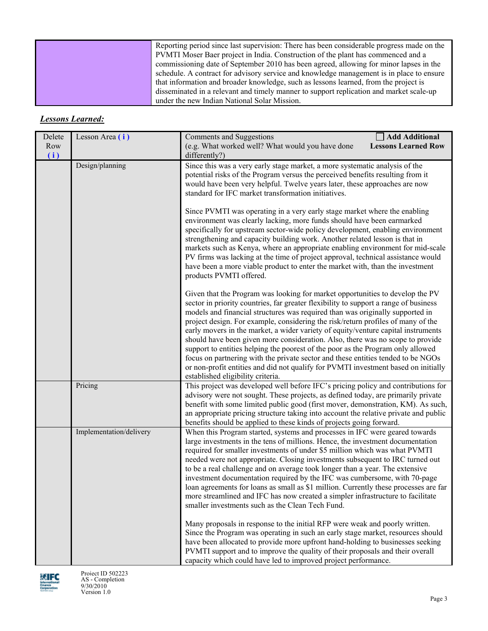| Reporting period since last supervision: There has been considerable progress made on the |
|-------------------------------------------------------------------------------------------|
| PVMTI Moser Baer project in India. Construction of the plant has commenced and a          |
| commissioning date of September 2010 has been agreed, allowing for minor lapses in the    |
| schedule. A contract for advisory service and knowledge management is in place to ensure  |
| that information and broader knowledge, such as lessons learned, from the project is      |
| disseminated in a relevant and timely manner to support replication and market scale-up   |
| under the new Indian National Solar Mission.                                              |

# *Lessons Learned:*

| Delete<br>Row<br>(i) | Lesson Area (i)         | <b>Comments and Suggestions</b><br>(e.g. What worked well? What would you have done<br>differently?)                                                                                                                                                                                                                                                                                                                                                                                                                                                                                                                                                                                                                                                                                                                | Add Additional<br><b>Lessons Learned Row</b> |  |  |  |  |
|----------------------|-------------------------|---------------------------------------------------------------------------------------------------------------------------------------------------------------------------------------------------------------------------------------------------------------------------------------------------------------------------------------------------------------------------------------------------------------------------------------------------------------------------------------------------------------------------------------------------------------------------------------------------------------------------------------------------------------------------------------------------------------------------------------------------------------------------------------------------------------------|----------------------------------------------|--|--|--|--|
|                      | Design/planning         | Since this was a very early stage market, a more systematic analysis of the<br>potential risks of the Program versus the perceived benefits resulting from it<br>would have been very helpful. Twelve years later, these approaches are now<br>standard for IFC market transformation initiatives.                                                                                                                                                                                                                                                                                                                                                                                                                                                                                                                  |                                              |  |  |  |  |
|                      |                         | Since PVMTI was operating in a very early stage market where the enabling<br>environment was clearly lacking, more funds should have been earmarked<br>specifically for upstream sector-wide policy development, enabling environment<br>strengthening and capacity building work. Another related lesson is that in<br>markets such as Kenya, where an appropriate enabling environment for mid-scale<br>PV firms was lacking at the time of project approval, technical assistance would<br>have been a more viable product to enter the market with, than the investment<br>products PVMTI offered.                                                                                                                                                                                                              |                                              |  |  |  |  |
|                      |                         | Given that the Program was looking for market opportunities to develop the PV<br>sector in priority countries, far greater flexibility to support a range of business<br>models and financial structures was required than was originally supported in<br>project design. For example, considering the risk/return profiles of many of the<br>early movers in the market, a wider variety of equity/venture capital instruments<br>should have been given more consideration. Also, there was no scope to provide<br>support to entities helping the poorest of the poor as the Program only allowed<br>focus on partnering with the private sector and these entities tended to be NGOs<br>or non-profit entities and did not qualify for PVMTI investment based on initially<br>established eligibility criteria. |                                              |  |  |  |  |
|                      | Pricing                 | This project was developed well before IFC's pricing policy and contributions for<br>advisory were not sought. These projects, as defined today, are primarily private<br>benefit with some limited public good (first mover, demonstration, KM). As such,<br>an appropriate pricing structure taking into account the relative private and public<br>benefits should be applied to these kinds of projects going forward.                                                                                                                                                                                                                                                                                                                                                                                          |                                              |  |  |  |  |
|                      | Implementation/delivery | When this Program started, systems and processes in IFC were geared towards<br>large investments in the tens of millions. Hence, the investment documentation<br>required for smaller investments of under \$5 million which was what PVMTI<br>needed were not appropriate. Closing investments subsequent to IRC turned out<br>to be a real challenge and on average took longer than a year. The extensive<br>investment documentation required by the IFC was cumbersome, with 70-page<br>loan agreements for loans as small as \$1 million. Currently these processes are far<br>more streamlined and IFC has now created a simpler infrastructure to facilitate<br>smaller investments such as the Clean Tech Fund.                                                                                            |                                              |  |  |  |  |
|                      |                         | Many proposals in response to the initial RFP were weak and poorly written.<br>Since the Program was operating in such an early stage market, resources should<br>have been allocated to provide more upfront hand-holding to businesses seeking<br>PVMTI support and to improve the quality of their proposals and their overall                                                                                                                                                                                                                                                                                                                                                                                                                                                                                   |                                              |  |  |  |  |

capacity which could have led to improved project performance.

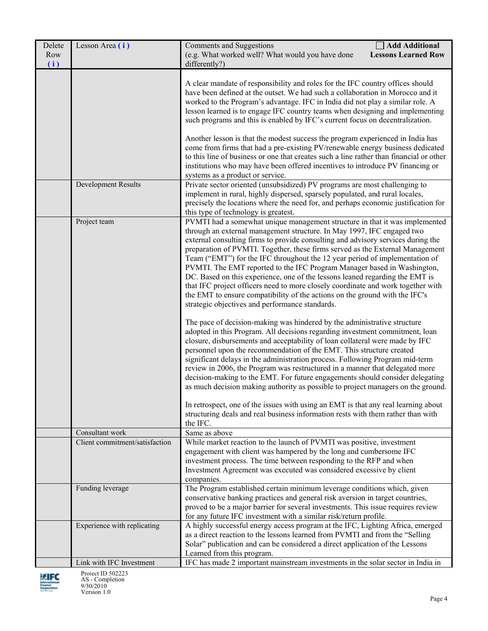| Delete<br>Row | Lesson Area (i)                | Add Additional<br>Comments and Suggestions<br>(e.g. What worked well? What would you have done<br><b>Lessons Learned Row</b>                                                                                                                                                                                                                                                                                                                                                                                                                                                                                                                                                                                                                                                               |
|---------------|--------------------------------|--------------------------------------------------------------------------------------------------------------------------------------------------------------------------------------------------------------------------------------------------------------------------------------------------------------------------------------------------------------------------------------------------------------------------------------------------------------------------------------------------------------------------------------------------------------------------------------------------------------------------------------------------------------------------------------------------------------------------------------------------------------------------------------------|
| (i)           |                                | differently?)                                                                                                                                                                                                                                                                                                                                                                                                                                                                                                                                                                                                                                                                                                                                                                              |
|               |                                | A clear mandate of responsibility and roles for the IFC country offices should<br>have been defined at the outset. We had such a collaboration in Morocco and it<br>worked to the Program's advantage. IFC in India did not play a similar role. A<br>lesson learned is to engage IFC country teams when designing and implementing<br>such programs and this is enabled by IFC's current focus on decentralization.<br>Another lesson is that the modest success the program experienced in India has<br>come from firms that had a pre-existing PV/renewable energy business dedicated                                                                                                                                                                                                   |
|               |                                | to this line of business or one that creates such a line rather than financial or other<br>institutions who may have been offered incentives to introduce PV financing or<br>systems as a product or service.                                                                                                                                                                                                                                                                                                                                                                                                                                                                                                                                                                              |
|               | Development Results            | Private sector oriented (unsubsidized) PV programs are most challenging to<br>implement in rural, highly dispersed, sparsely populated, and rural locales,<br>precisely the locations where the need for, and perhaps economic justification for<br>this type of technology is greatest.                                                                                                                                                                                                                                                                                                                                                                                                                                                                                                   |
|               | Project team                   | PVMTI had a somewhat unique management structure in that it was implemented<br>through an external management structure. In May 1997, IFC engaged two<br>external consulting firms to provide consulting and advisory services during the<br>preparation of PVMTI. Together, these firms served as the External Management<br>Team ("EMT") for the IFC throughout the 12 year period of implementation of<br>PVMTI. The EMT reported to the IFC Program Manager based in Washington,<br>DC. Based on this experience, one of the lessons leaned regarding the EMT is<br>that IFC project officers need to more closely coordinate and work together with<br>the EMT to ensure compatibility of the actions on the ground with the IFC's<br>strategic objectives and performance standards. |
|               |                                | The pace of decision-making was hindered by the administrative structure<br>adopted in this Program. All decisions regarding investment commitment, loan<br>closure, disbursements and acceptability of loan collateral were made by IFC<br>personnel upon the recommendation of the EMT. This structure created<br>significant delays in the administration process. Following Program mid-term<br>review in 2006, the Program was restructured in a manner that delegated more<br>decision-making to the EMT. For future engagements should consider delegating<br>as much decision making authority as possible to project managers on the ground.<br>In retrospect, one of the issues with using an EMT is that any real learning about                                                |
|               |                                | structuring deals and real business information rests with them rather than with<br>the IFC.                                                                                                                                                                                                                                                                                                                                                                                                                                                                                                                                                                                                                                                                                               |
|               | Consultant work                | Same as above                                                                                                                                                                                                                                                                                                                                                                                                                                                                                                                                                                                                                                                                                                                                                                              |
|               | Client commitment/satisfaction | While market reaction to the launch of PVMTI was positive, investment<br>engagement with client was hampered by the long and cumbersome IFC<br>investment process. The time between responding to the RFP and when<br>Investment Agreement was executed was considered excessive by client<br>companies.                                                                                                                                                                                                                                                                                                                                                                                                                                                                                   |
|               | Funding leverage               | The Program established certain minimum leverage conditions which, given<br>conservative banking practices and general risk aversion in target countries,<br>proved to be a major barrier for several investments. This issue requires review<br>for any future IFC investment with a similar risk/return profile.                                                                                                                                                                                                                                                                                                                                                                                                                                                                         |
|               | Experience with replicating    | A highly successful energy access program at the IFC, Lighting Africa, emerged<br>as a direct reaction to the lessons learned from PVMTI and from the "Selling<br>Solar" publication and can be considered a direct application of the Lessons<br>Learned from this program.                                                                                                                                                                                                                                                                                                                                                                                                                                                                                                               |
|               | Link with IFC Investment       | IFC has made 2 important mainstream investments in the solar sector in India in                                                                                                                                                                                                                                                                                                                                                                                                                                                                                                                                                                                                                                                                                                            |

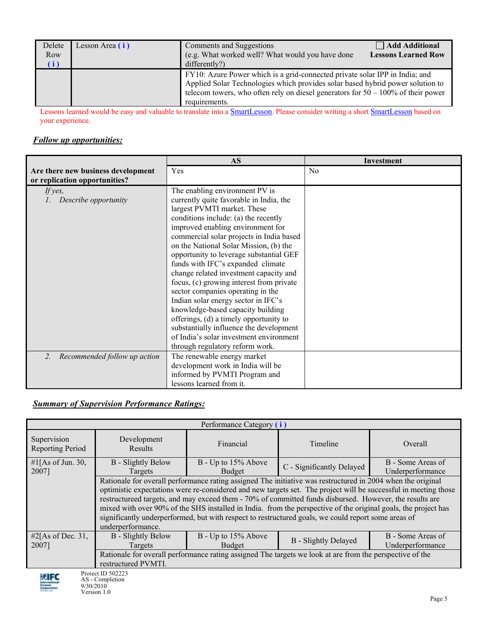| Delete<br>Row<br>(i) | Lesson Area $(i)$ | Comments and Suggestions<br>(e.g. What worked well? What would you have done<br>differently?)                                                                                                                                                                         | <b>Add Additional</b><br><b>Lessons Learned Row</b> |
|----------------------|-------------------|-----------------------------------------------------------------------------------------------------------------------------------------------------------------------------------------------------------------------------------------------------------------------|-----------------------------------------------------|
|                      |                   | FY10: Azure Power which is a grid-connected private solar IPP in India; and<br>Applied Solar Technologies which provides solar based hybrid power solution to<br>telecom towers, who often rely on diesel generators for $50 - 100\%$ of their power<br>requirements. |                                                     |

Lessons learned would be easy and valuable to translate into a **SmartLesson**. Please consider writing a short **SmartLesson** based on your experience.

## *Follow up opportunities:*

|                                    | <b>AS</b>                                | Investment |
|------------------------------------|------------------------------------------|------------|
| Are there new business development | Yes                                      | No         |
| or replication opportunities?      |                                          |            |
| If yes,                            | The enabling environment PV is           |            |
| Describe opportunity               | currently quite favorable in India, the  |            |
|                                    | largest PVMTI market. These              |            |
|                                    | conditions include: (a) the recently     |            |
|                                    | improved enabling environment for        |            |
|                                    | commercial solar projects in India based |            |
|                                    | on the National Solar Mission, (b) the   |            |
|                                    | opportunity to leverage substantial GEF  |            |
|                                    | funds with IFC's expanded climate        |            |
|                                    | change related investment capacity and   |            |
|                                    | focus, (c) growing interest from private |            |
|                                    | sector companies operating in the        |            |
|                                    | Indian solar energy sector in IFC's      |            |
|                                    | knowledge-based capacity building        |            |
|                                    | offerings, (d) a timely opportunity to   |            |
|                                    | substantially influence the development  |            |
|                                    | of India's solar investment environment  |            |
|                                    | through regulatory reform work.          |            |
| Recommended follow up action<br>2. | The renewable energy market              |            |
|                                    | development work in India will be        |            |
|                                    | informed by PVMTI Program and            |            |
|                                    | lessons learned from it.                 |            |

# *Summary of Supervision Performance Ratings:*

| Performance Category (i)                                                                                                        |                                                                                                                                                                                                                                                                                                                                                                                                                                                                                                                                                                                         |                               |                           |                                       |  |  |
|---------------------------------------------------------------------------------------------------------------------------------|-----------------------------------------------------------------------------------------------------------------------------------------------------------------------------------------------------------------------------------------------------------------------------------------------------------------------------------------------------------------------------------------------------------------------------------------------------------------------------------------------------------------------------------------------------------------------------------------|-------------------------------|---------------------------|---------------------------------------|--|--|
| Supervision<br>Reporting Period                                                                                                 | Development<br><b>Results</b>                                                                                                                                                                                                                                                                                                                                                                                                                                                                                                                                                           | Financial                     | Timeline                  | Overall                               |  |  |
| #1[As of Jun. 30,<br>2007]                                                                                                      | <b>B</b> - Slightly Below<br>Targets                                                                                                                                                                                                                                                                                                                                                                                                                                                                                                                                                    | B - Up to 15% Above<br>Budget | C - Significantly Delayed | B - Some Areas of<br>Underperformance |  |  |
|                                                                                                                                 | Rationale for overall performance rating assigned The initiative was restructured in 2004 when the original<br>optimistic expectations were re-considered and new targets set. The project will be successful in meeting those<br>restructureed targets, and may exceed them - 70% of committed funds disbursed. However, the results are<br>mixed with over 90% of the SHS installed in India. from the perspective of the original goals, the project has<br>significantly underperformed, but with respect to restructured goals, we could report some areas of<br>underperformance. |                               |                           |                                       |  |  |
| #2[As of Dec. 31,<br>2007]                                                                                                      | B - Slightly Below<br>B - Up to 15% Above<br>B - Some Areas of<br><b>B</b> - Slightly Delayed<br>Underperformance<br>Budget<br>Targets                                                                                                                                                                                                                                                                                                                                                                                                                                                  |                               |                           |                                       |  |  |
| Rationale for overall performance rating assigned The targets we look at are from the perspective of the<br>restructured PVMTI. |                                                                                                                                                                                                                                                                                                                                                                                                                                                                                                                                                                                         |                               |                           |                                       |  |  |
| Project ID 502223<br><b>ENTER</b>                                                                                               |                                                                                                                                                                                                                                                                                                                                                                                                                                                                                                                                                                                         |                               |                           |                                       |  |  |

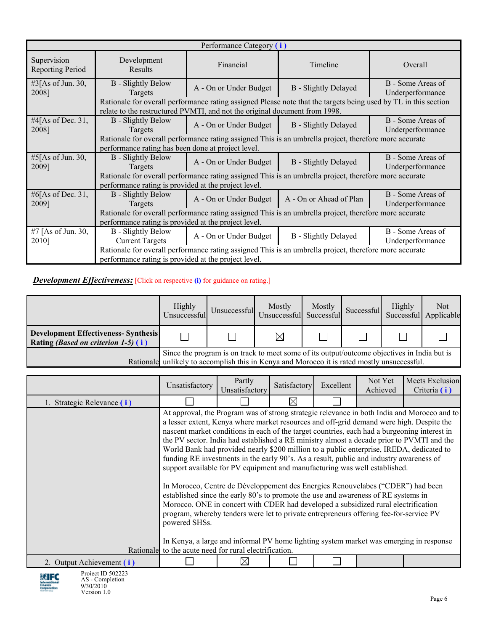| Performance Category (i)               |                                                                                                                                                                |                                                                                                                                                                                               |                             |                                       |  |  |
|----------------------------------------|----------------------------------------------------------------------------------------------------------------------------------------------------------------|-----------------------------------------------------------------------------------------------------------------------------------------------------------------------------------------------|-----------------------------|---------------------------------------|--|--|
| Supervision<br><b>Reporting Period</b> | Development<br>Results                                                                                                                                         | Financial                                                                                                                                                                                     | Timeline                    | Overall                               |  |  |
| #3[As of Jun. 30,<br>2008]             | <b>B</b> - Slightly Below<br>Targets                                                                                                                           | A - On or Under Budget                                                                                                                                                                        | <b>B</b> - Slightly Delayed | B - Some Areas of<br>Underperformance |  |  |
|                                        |                                                                                                                                                                | Rationale for overall performance rating assigned Please note that the targets being used by TL in this section<br>relate to the restructured PVMTI, and not the original document from 1998. |                             |                                       |  |  |
| #4[As of Dec. $31$ ,<br>2008]          | <b>B</b> - Slightly Below<br>Targets                                                                                                                           | A - On or Under Budget                                                                                                                                                                        | <b>B</b> - Slightly Delayed | B - Some Areas of<br>Underperformance |  |  |
|                                        | Rationale for overall performance rating assigned This is an umbrella project, therefore more accurate                                                         |                                                                                                                                                                                               |                             |                                       |  |  |
|                                        | performance rating has been done at project level.                                                                                                             |                                                                                                                                                                                               |                             |                                       |  |  |
| #5[As of Jun. 30,<br>2009]             | <b>B</b> - Slightly Below<br>Targets                                                                                                                           | A - On or Under Budget                                                                                                                                                                        | <b>B</b> - Slightly Delayed | B - Some Areas of<br>Underperformance |  |  |
|                                        |                                                                                                                                                                | Rationale for overall performance rating assigned This is an umbrella project, therefore more accurate                                                                                        |                             |                                       |  |  |
|                                        | performance rating is provided at the project level.                                                                                                           |                                                                                                                                                                                               |                             |                                       |  |  |
| #6[As of Dec. 31,<br>2009]             | <b>B</b> - Slightly Below<br>Targets                                                                                                                           | A - On or Under Budget                                                                                                                                                                        | A - On or Ahead of Plan     | B - Some Areas of<br>Underperformance |  |  |
|                                        |                                                                                                                                                                | Rationale for overall performance rating assigned This is an umbrella project, therefore more accurate                                                                                        |                             |                                       |  |  |
|                                        | performance rating is provided at the project level.                                                                                                           |                                                                                                                                                                                               |                             |                                       |  |  |
| #7 [As of Jun. 30,<br>2010]            | <b>B</b> - Slightly Below<br><b>Current Targets</b>                                                                                                            | A - On or Under Budget                                                                                                                                                                        | <b>B</b> - Slightly Delayed | B - Some Areas of<br>Underperformance |  |  |
|                                        | Rationale for overall performance rating assigned This is an umbrella project, therefore more accurate<br>performance rating is provided at the project level. |                                                                                                                                                                                               |                             |                                       |  |  |

#### **Development Effectiveness:** [Click on respective (i) for guidance on rating.]

|                                                                                            | Highly<br>Unsuccessful                                                                                                                                                                     |  | Mostly<br>I Unsuccessful Unsuccessful Successful | Mostly | Successful | Highly<br>Successful Applicable | Not |
|--------------------------------------------------------------------------------------------|--------------------------------------------------------------------------------------------------------------------------------------------------------------------------------------------|--|--------------------------------------------------|--------|------------|---------------------------------|-----|
| <b>Development Effectiveness-Synthesis</b><br>Rating <i>(Based on criterion 1-5)</i> $(i)$ |                                                                                                                                                                                            |  | $\times$                                         |        |            |                                 |     |
|                                                                                            | Since the program is on track to meet some of its output/outcome objectives in India but is<br>Rationale unlikely to accomplish this in Kenya and Morocco it is rated mostly unsuccessful. |  |                                                  |        |            |                                 |     |

|                            | Unsatisfactory                                                                                                                                                                                                                                                                                                                                                                                                                                                                                                                                                                                                                                            | Partly<br>Unsatisfactory | Satisfactory | Excellent | Not Yet<br>Achieved | Meets Exclusion<br>Criteria (i) |  |
|----------------------------|-----------------------------------------------------------------------------------------------------------------------------------------------------------------------------------------------------------------------------------------------------------------------------------------------------------------------------------------------------------------------------------------------------------------------------------------------------------------------------------------------------------------------------------------------------------------------------------------------------------------------------------------------------------|--------------------------|--------------|-----------|---------------------|---------------------------------|--|
| 1. Strategic Relevance (i) |                                                                                                                                                                                                                                                                                                                                                                                                                                                                                                                                                                                                                                                           |                          | $\boxtimes$  |           |                     |                                 |  |
|                            | At approval, the Program was of strong strategic relevance in both India and Morocco and to<br>a lesser extent, Kenya where market resources and off-grid demand were high. Despite the<br>nascent market conditions in each of the target countries, each had a burgeoning interest in<br>the PV sector. India had established a RE ministry almost a decade prior to PVMTI and the<br>World Bank had provided nearly \$200 million to a public enterprise, IREDA, dedicated to<br>funding RE investments in the early 90's. As a result, public and industry awareness of<br>support available for PV equipment and manufacturing was well established. |                          |              |           |                     |                                 |  |
|                            | In Morocco, Centre de Développement des Energies Renouvelabes ("CDER") had been<br>established since the early 80's to promote the use and awareness of RE systems in<br>Morocco. ONE in concert with CDER had developed a subsidized rural electrification<br>program, whereby tenders were let to private entrepreneurs offering fee-for-service PV<br>powered SHSs.<br>In Kenya, a large and informal PV home lighting system market was emerging in response                                                                                                                                                                                          |                          |              |           |                     |                                 |  |
|                            | Rationale to the acute need for rural electrification.                                                                                                                                                                                                                                                                                                                                                                                                                                                                                                                                                                                                    |                          |              |           |                     |                                 |  |
| 2. Output Achievement (i)  |                                                                                                                                                                                                                                                                                                                                                                                                                                                                                                                                                                                                                                                           | ⋉                        |              |           |                     |                                 |  |

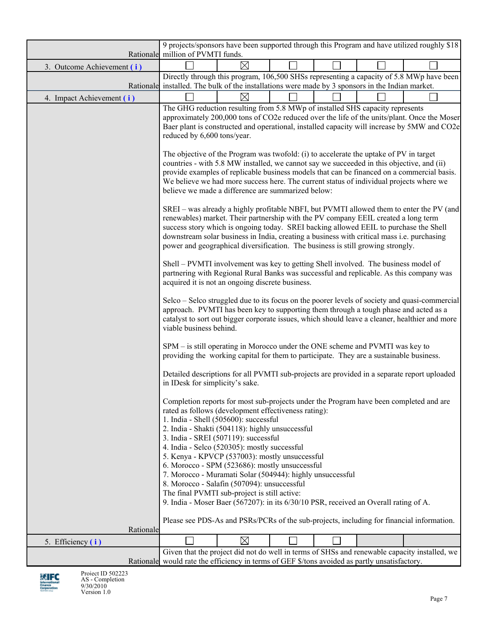|                            | 9 projects/sponsors have been supported through this Program and have utilized roughly \$18                                                                                                                                                                                                                                                                                                                                                                                                                                                                                                                                                                                                                                                                                                                                                                                                                                                                                                                                                                                                                                                                                                                                                                                                                                                                                                                                                                                                                                                                                                                                                                                                                                                                                                                                                                                             |             |  |  |  |                                                                                                                                                                                                                                                                                                                                                                                                                                                                                                                                                                                                                                                                                        |  |  |  |  |  |  |
|----------------------------|-----------------------------------------------------------------------------------------------------------------------------------------------------------------------------------------------------------------------------------------------------------------------------------------------------------------------------------------------------------------------------------------------------------------------------------------------------------------------------------------------------------------------------------------------------------------------------------------------------------------------------------------------------------------------------------------------------------------------------------------------------------------------------------------------------------------------------------------------------------------------------------------------------------------------------------------------------------------------------------------------------------------------------------------------------------------------------------------------------------------------------------------------------------------------------------------------------------------------------------------------------------------------------------------------------------------------------------------------------------------------------------------------------------------------------------------------------------------------------------------------------------------------------------------------------------------------------------------------------------------------------------------------------------------------------------------------------------------------------------------------------------------------------------------------------------------------------------------------------------------------------------------|-------------|--|--|--|----------------------------------------------------------------------------------------------------------------------------------------------------------------------------------------------------------------------------------------------------------------------------------------------------------------------------------------------------------------------------------------------------------------------------------------------------------------------------------------------------------------------------------------------------------------------------------------------------------------------------------------------------------------------------------------|--|--|--|--|--|--|
|                            | Rationale million of PVMTI funds.                                                                                                                                                                                                                                                                                                                                                                                                                                                                                                                                                                                                                                                                                                                                                                                                                                                                                                                                                                                                                                                                                                                                                                                                                                                                                                                                                                                                                                                                                                                                                                                                                                                                                                                                                                                                                                                       |             |  |  |  |                                                                                                                                                                                                                                                                                                                                                                                                                                                                                                                                                                                                                                                                                        |  |  |  |  |  |  |
| 3. Outcome Achievement (i) |                                                                                                                                                                                                                                                                                                                                                                                                                                                                                                                                                                                                                                                                                                                                                                                                                                                                                                                                                                                                                                                                                                                                                                                                                                                                                                                                                                                                                                                                                                                                                                                                                                                                                                                                                                                                                                                                                         | $\boxtimes$ |  |  |  |                                                                                                                                                                                                                                                                                                                                                                                                                                                                                                                                                                                                                                                                                        |  |  |  |  |  |  |
|                            |                                                                                                                                                                                                                                                                                                                                                                                                                                                                                                                                                                                                                                                                                                                                                                                                                                                                                                                                                                                                                                                                                                                                                                                                                                                                                                                                                                                                                                                                                                                                                                                                                                                                                                                                                                                                                                                                                         |             |  |  |  | Directly through this program, 106,500 SHSs representing a capacity of 5.8 MWp have been                                                                                                                                                                                                                                                                                                                                                                                                                                                                                                                                                                                               |  |  |  |  |  |  |
|                            |                                                                                                                                                                                                                                                                                                                                                                                                                                                                                                                                                                                                                                                                                                                                                                                                                                                                                                                                                                                                                                                                                                                                                                                                                                                                                                                                                                                                                                                                                                                                                                                                                                                                                                                                                                                                                                                                                         | $\boxtimes$ |  |  |  |                                                                                                                                                                                                                                                                                                                                                                                                                                                                                                                                                                                                                                                                                        |  |  |  |  |  |  |
| 4. Impact Achievement (i)  | Rationale installed. The bulk of the installations were made by 3 sponsors in the Indian market.<br>The GHG reduction resulting from 5.8 MWp of installed SHS capacity represents<br>reduced by 6,600 tons/year.<br>The objective of the Program was twofold: (i) to accelerate the uptake of PV in target<br>countries - with 5.8 MW installed, we cannot say we succeeded in this objective, and (ii)<br>We believe we had more success here. The current status of individual projects where we<br>believe we made a difference are summarized below:<br>renewables) market. Their partnership with the PV company EEIL created a long term<br>success story which is ongoing today. SREI backing allowed EEIL to purchase the Shell<br>downstream solar business in India, creating a business with critical mass i.e. purchasing<br>power and geographical diversification. The business is still growing strongly.<br>Shell - PVMTI involvement was key to getting Shell involved. The business model of<br>partnering with Regional Rural Banks was successful and replicable. As this company was<br>acquired it is not an ongoing discrete business.<br>approach. PVMTI has been key to supporting them through a tough phase and acted as a<br>viable business behind.<br>SPM – is still operating in Morocco under the ONE scheme and PVMTI was key to<br>providing the working capital for them to participate. They are a sustainable business.<br>in IDesk for simplicity's sake.<br>Completion reports for most sub-projects under the Program have been completed and are<br>rated as follows (development effectiveness rating):<br>1. India - Shell (505600): successful<br>2. India - Shakti (504118): highly unsuccessful<br>3. India - SREI (507119): successful<br>4. India - Selco (520305): mostly successful<br>5. Kenya - KPVCP (537003): mostly unsuccessful |             |  |  |  | approximately 200,000 tons of CO2e reduced over the life of the units/plant. Once the Moser<br>Baer plant is constructed and operational, installed capacity will increase by 5MW and CO2e<br>provide examples of replicable business models that can be financed on a commercial basis.<br>SREI - was already a highly profitable NBFI, but PVMTI allowed them to enter the PV (and<br>Selco – Selco struggled due to its focus on the poorer levels of society and quasi-commercial<br>catalyst to sort out bigger corporate issues, which should leave a cleaner, healthier and more<br>Detailed descriptions for all PVMTI sub-projects are provided in a separate report uploaded |  |  |  |  |  |  |
|                            | 6. Morocco - SPM (523686): mostly unsuccessful<br>7. Morocco - Muramati Solar (504944): highly unsuccessful                                                                                                                                                                                                                                                                                                                                                                                                                                                                                                                                                                                                                                                                                                                                                                                                                                                                                                                                                                                                                                                                                                                                                                                                                                                                                                                                                                                                                                                                                                                                                                                                                                                                                                                                                                             |             |  |  |  |                                                                                                                                                                                                                                                                                                                                                                                                                                                                                                                                                                                                                                                                                        |  |  |  |  |  |  |
|                            | 8. Morocco - Salafin (507094): unsuccessful                                                                                                                                                                                                                                                                                                                                                                                                                                                                                                                                                                                                                                                                                                                                                                                                                                                                                                                                                                                                                                                                                                                                                                                                                                                                                                                                                                                                                                                                                                                                                                                                                                                                                                                                                                                                                                             |             |  |  |  |                                                                                                                                                                                                                                                                                                                                                                                                                                                                                                                                                                                                                                                                                        |  |  |  |  |  |  |
|                            | The final PVMTI sub-project is still active:<br>9. India - Moser Baer (567207): in its 6/30/10 PSR, received an Overall rating of A.                                                                                                                                                                                                                                                                                                                                                                                                                                                                                                                                                                                                                                                                                                                                                                                                                                                                                                                                                                                                                                                                                                                                                                                                                                                                                                                                                                                                                                                                                                                                                                                                                                                                                                                                                    |             |  |  |  |                                                                                                                                                                                                                                                                                                                                                                                                                                                                                                                                                                                                                                                                                        |  |  |  |  |  |  |
|                            |                                                                                                                                                                                                                                                                                                                                                                                                                                                                                                                                                                                                                                                                                                                                                                                                                                                                                                                                                                                                                                                                                                                                                                                                                                                                                                                                                                                                                                                                                                                                                                                                                                                                                                                                                                                                                                                                                         |             |  |  |  |                                                                                                                                                                                                                                                                                                                                                                                                                                                                                                                                                                                                                                                                                        |  |  |  |  |  |  |
| Rationale                  | Please see PDS-As and PSRs/PCRs of the sub-projects, including for financial information.                                                                                                                                                                                                                                                                                                                                                                                                                                                                                                                                                                                                                                                                                                                                                                                                                                                                                                                                                                                                                                                                                                                                                                                                                                                                                                                                                                                                                                                                                                                                                                                                                                                                                                                                                                                               |             |  |  |  |                                                                                                                                                                                                                                                                                                                                                                                                                                                                                                                                                                                                                                                                                        |  |  |  |  |  |  |
| 5. Efficiency (i)          |                                                                                                                                                                                                                                                                                                                                                                                                                                                                                                                                                                                                                                                                                                                                                                                                                                                                                                                                                                                                                                                                                                                                                                                                                                                                                                                                                                                                                                                                                                                                                                                                                                                                                                                                                                                                                                                                                         | $\boxtimes$ |  |  |  |                                                                                                                                                                                                                                                                                                                                                                                                                                                                                                                                                                                                                                                                                        |  |  |  |  |  |  |
|                            |                                                                                                                                                                                                                                                                                                                                                                                                                                                                                                                                                                                                                                                                                                                                                                                                                                                                                                                                                                                                                                                                                                                                                                                                                                                                                                                                                                                                                                                                                                                                                                                                                                                                                                                                                                                                                                                                                         |             |  |  |  | Given that the project did not do well in terms of SHSs and renewable capacity installed, we                                                                                                                                                                                                                                                                                                                                                                                                                                                                                                                                                                                           |  |  |  |  |  |  |
|                            | Rationale would rate the efficiency in terms of GEF \$/tons avoided as partly unsatisfactory.                                                                                                                                                                                                                                                                                                                                                                                                                                                                                                                                                                                                                                                                                                                                                                                                                                                                                                                                                                                                                                                                                                                                                                                                                                                                                                                                                                                                                                                                                                                                                                                                                                                                                                                                                                                           |             |  |  |  |                                                                                                                                                                                                                                                                                                                                                                                                                                                                                                                                                                                                                                                                                        |  |  |  |  |  |  |

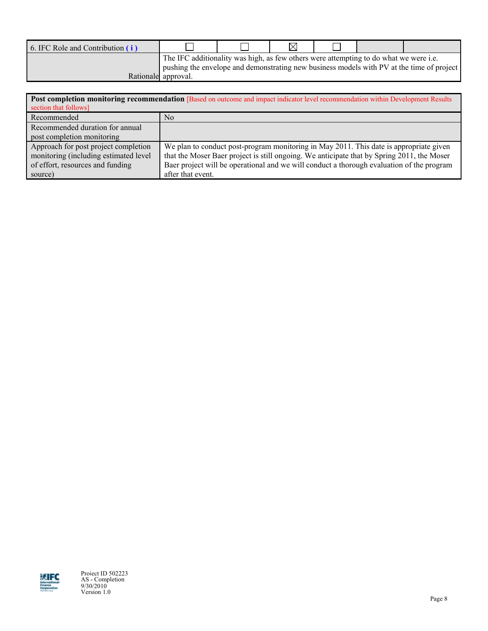| 6. IFC Role and Contribution (i) |                                                                                       |  |  |                                                                                           |
|----------------------------------|---------------------------------------------------------------------------------------|--|--|-------------------------------------------------------------------------------------------|
|                                  | The IFC additionality was high, as few others were attempting to do what we were i.e. |  |  | pushing the envelope and demonstrating new business models with PV at the time of project |
|                                  | Rationale approval.                                                                   |  |  |                                                                                           |

|                                       | Post completion monitoring recommendation [Based on outcome and impact indicator level recommendation within Development Results |  |  |  |  |  |  |  |  |  |
|---------------------------------------|----------------------------------------------------------------------------------------------------------------------------------|--|--|--|--|--|--|--|--|--|
| section that follows]                 |                                                                                                                                  |  |  |  |  |  |  |  |  |  |
| Recommended                           | N <sub>0</sub>                                                                                                                   |  |  |  |  |  |  |  |  |  |
| Recommended duration for annual       |                                                                                                                                  |  |  |  |  |  |  |  |  |  |
| post completion monitoring            |                                                                                                                                  |  |  |  |  |  |  |  |  |  |
| Approach for post project completion  | We plan to conduct post-program monitoring in May 2011. This date is appropriate given                                           |  |  |  |  |  |  |  |  |  |
| monitoring (including estimated level | that the Moser Baer project is still ongoing. We anticipate that by Spring 2011, the Moser                                       |  |  |  |  |  |  |  |  |  |
| of effort, resources and funding      | Baer project will be operational and we will conduct a thorough evaluation of the program                                        |  |  |  |  |  |  |  |  |  |
| source)                               | after that event.                                                                                                                |  |  |  |  |  |  |  |  |  |



Project ID 502223 AS - Completion 9/30/2010 Version 1.0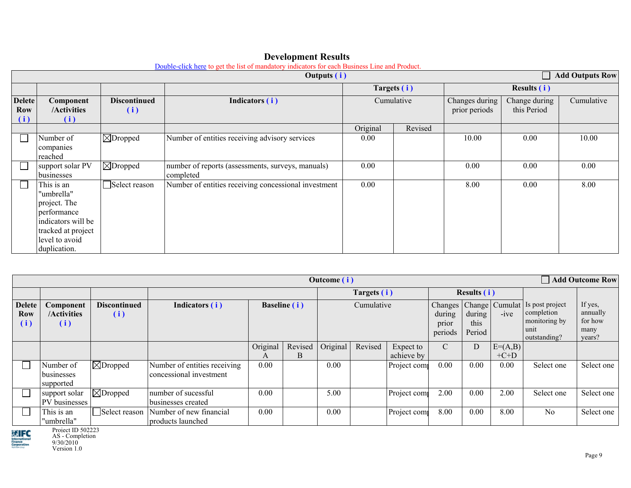|                                    |                                                                                                                                       |                             | <b>Add Outputs Row</b>                                         |             |         |                                 |                              |            |
|------------------------------------|---------------------------------------------------------------------------------------------------------------------------------------|-----------------------------|----------------------------------------------------------------|-------------|---------|---------------------------------|------------------------------|------------|
|                                    |                                                                                                                                       |                             |                                                                | Targets (i) |         |                                 | <b>Results (i)</b>           |            |
| <b>Delete</b><br><b>Row</b><br>(i) | Component<br>/Activities<br>(i)                                                                                                       | <b>Discontinued</b><br>(i)  | Indicators (i)                                                 | Cumulative  |         | Changes during<br>prior periods | Change during<br>this Period | Cumulative |
|                                    |                                                                                                                                       |                             |                                                                | Original    | Revised |                                 |                              |            |
|                                    | Number of<br>companies<br>reached                                                                                                     | $\boxed{\boxtimes}$ Dropped | Number of entities receiving advisory services                 | 0.00        |         | 10.00                           | 0.00                         | 10.00      |
|                                    | support solar PV<br>businesses                                                                                                        | $\boxtimes$ Dropped         | number of reports (assessments, surveys, manuals)<br>completed | 0.00        |         | 0.00                            | 0.00                         | 0.00       |
|                                    | This is an<br>"umbrella"<br>project. The<br>performance<br>indicators will be<br>tracked at project<br>level to avoid<br>duplication. | Select reason               | Number of entities receiving concessional investment           | 0.00        |         | 8.00                            | 0.00                         | 8.00       |

## **Development Results**

[Double-click here](http://advisoryservices.ifc.org/go/page.aspx?mid=2&mde=t&id=301) to get the list of mandatory indicators for each Business Line and Product.

|                             |                                      |                            |                                                         |               |                         | <b>Outcome</b> (i) |         |                         |                            |                          |                     | <b>Add Outcome Row</b>                                                                              |                                                  |  |
|-----------------------------|--------------------------------------|----------------------------|---------------------------------------------------------|---------------|-------------------------|--------------------|---------|-------------------------|----------------------------|--------------------------|---------------------|-----------------------------------------------------------------------------------------------------|--------------------------------------------------|--|
|                             |                                      |                            |                                                         |               |                         | Targets (i)        |         |                         | <b>Results (i)</b>         |                          |                     |                                                                                                     |                                                  |  |
| <b>Delete</b><br>Row<br>(i) | Component<br>/Activities<br>(i)      | <b>Discontinued</b><br>(i) | Indicators (i)                                          |               | <b>Baseline</b> (i)     | Cumulative         |         |                         | during<br>prior<br>periods | during<br>this<br>Period | $-ive$              | Changes   Change   Cumulat   Is post project<br>completion<br>monitoring by<br>unit<br>outstanding? | If yes,<br>annually<br>for how<br>many<br>years? |  |
|                             |                                      |                            |                                                         | Original<br>A | Revised   Original<br>B |                    | Revised | Expect to<br>achieve by | $\mathcal{C}$              | $\mathbf D$              | $E=(A,B)$<br>$+C+D$ |                                                                                                     |                                                  |  |
|                             | Number of<br>businesses<br>supported | $ \boxtimes$ Dropped       | Number of entities receiving<br>concessional investment | 0.00          |                         | 0.00               |         | Project com             | $0.00\,$                   | 0.00                     | 0.00                | Select one                                                                                          | Select one                                       |  |
|                             | support solar<br>PV businesses       | $\boxtimes$ Dropped        | number of sucessful<br>businesses created               | 0.00          |                         | 5.00               |         | Project com             | 2.00                       | 0.00                     | 2.00                | Select one                                                                                          | Select one                                       |  |
|                             | This is an<br>"umbrella"             | Select reason              | Number of new financial<br>products launched            | 0.00          |                         | 0.00               |         | Project com             | 8.00                       | 0.00                     | 8.00                | N <sub>0</sub>                                                                                      | Select one                                       |  |

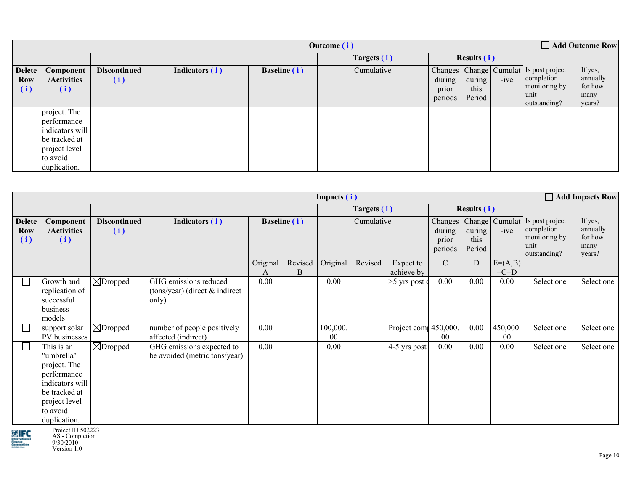|                                    | Add Outcome Row<br>Outcome (i)                                                                               |                            |                |                     |             |            |                    |                            |                          |        |                                                                                                     |                                                  |
|------------------------------------|--------------------------------------------------------------------------------------------------------------|----------------------------|----------------|---------------------|-------------|------------|--------------------|----------------------------|--------------------------|--------|-----------------------------------------------------------------------------------------------------|--------------------------------------------------|
|                                    |                                                                                                              |                            |                |                     | Targets (i) |            | <b>Results (i)</b> |                            |                          |        |                                                                                                     |                                                  |
| <b>Delete</b><br><b>Row</b><br>(i) | Component<br>/Activities<br>(i)                                                                              | <b>Discontinued</b><br>(i) | Indicators (i) | <b>Baseline</b> (i) |             | Cumulative |                    | during<br>prior<br>periods | during<br>this<br>Period | $-ive$ | Changes   Change   Cumulat   Is post project<br>completion<br>monitoring by<br>unit<br>outstanding? | If yes,<br>annually<br>for how<br>many<br>years? |
|                                    | project. The<br>performance<br>indicators will<br>be tracked at<br>project level<br>to avoid<br>duplication. |                            |                |                     |             |            |                    |                            |                          |        |                                                                                                     |                                                  |

|                                    |                                                                                                                                          |                            |                                                                  |               |              | Impacts (i)    |             |                         |             |                                     |                            |                                                                        | <b>Add Impacts Row</b>                           |
|------------------------------------|------------------------------------------------------------------------------------------------------------------------------------------|----------------------------|------------------------------------------------------------------|---------------|--------------|----------------|-------------|-------------------------|-------------|-------------------------------------|----------------------------|------------------------------------------------------------------------|--------------------------------------------------|
|                                    |                                                                                                                                          |                            |                                                                  |               |              |                | Targets (i) |                         |             | <b>Results (i)</b>                  |                            |                                                                        |                                                  |
| <b>Delete</b><br><b>Row</b><br>(i) | Component<br>/Activities<br>(i)                                                                                                          | <b>Discontinued</b><br>(i) | Indicators (i)                                                   |               | Baseline (i) |                |             | Cumulative              |             | Changes<br>during<br>this<br>Period | Change   Cumulat<br>$-ive$ | Is post project<br>completion<br>monitoring by<br>unit<br>outstanding? | If yes,<br>annually<br>for how<br>many<br>years? |
|                                    |                                                                                                                                          |                            |                                                                  | Original<br>A | Revised<br>B | Original       | Revised     | Expect to<br>achieve by | $\mathbf C$ | D                                   | $E=(A,B)$<br>$+C+D$        |                                                                        |                                                  |
| $\Box$                             | Growth and<br>replication of<br>successful<br>business<br>models                                                                         | $ \boxtimes$ Dropped       | GHG emissions reduced<br>(tons/year) (direct & indirect<br>only) | 0.00          |              | 0.00           |             | $>5$ yrs post of        | 0.00        | 0.00                                | 0.00                       | Select one                                                             | Select one                                       |
|                                    | support solar<br>PV businesses                                                                                                           | $\boxtimes$ Dropped        | number of people positively<br>affected (indirect)               | 0.00          |              | 100,000.<br>00 |             | Project com 450,000.    | $00\,$      | 0.00                                | 450,000<br>00              | Select one                                                             | Select one                                       |
| $\overline{\phantom{a}}$           | This is an<br>"umbrella"<br>project. The<br>performance<br>indicators will<br>be tracked at<br>project level<br>to avoid<br>duplication. | $ \bigtimes$ Dropped       | GHG emissions expected to<br>be avoided (metric tons/year)       | 0.00          |              | 0.00           |             | 4-5 yrs post            | 0.00        | 0.00                                | 0.00                       | Select one                                                             | Select one                                       |



Project ID 502223 AS - Completion 9/30/2010 Version 1.0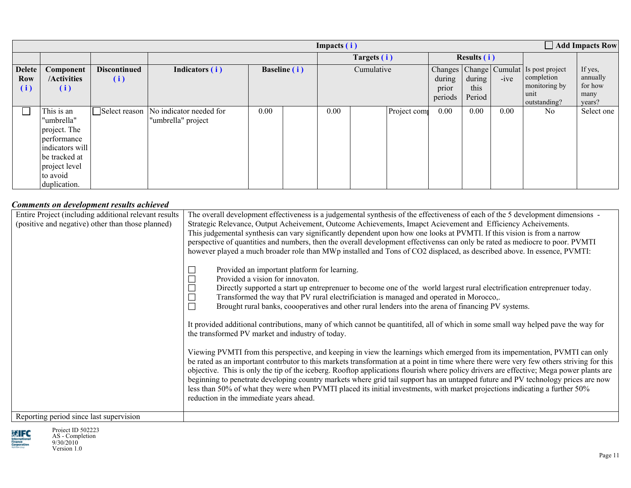|                                    |                                                                                                                                          |                            |                                                             |             |                     | Impacts (i) |            |                    |                            |                          |        |                                                                                                     | $\Box$ Add Impacts Row                           |
|------------------------------------|------------------------------------------------------------------------------------------------------------------------------------------|----------------------------|-------------------------------------------------------------|-------------|---------------------|-------------|------------|--------------------|----------------------------|--------------------------|--------|-----------------------------------------------------------------------------------------------------|--------------------------------------------------|
|                                    |                                                                                                                                          |                            |                                                             | Targets (i) |                     |             |            | <b>Results (i)</b> |                            |                          |        |                                                                                                     |                                                  |
| <b>Delete</b><br><b>Row</b><br>(i) | Component<br>/Activities<br>(i)                                                                                                          | <b>Discontinued</b><br>(i) | Indicators (i)                                              |             | <b>Baseline</b> (i) |             | Cumulative |                    | during<br>prior<br>periods | during<br>this<br>Period | $-ive$ | Changes   Change   Cumulat   Is post project<br>completion<br>monitoring by<br>unit<br>outstanding? | If yes,<br>annually<br>for how<br>many<br>years? |
|                                    | This is an<br>"umbrella"<br>project. The<br>performance<br>indicators will<br>be tracked at<br>project level<br>to avoid<br>duplication. |                            | Select reason No indicator needed for<br>"umbrella" project | 0.00        |                     | 0.00        |            | Project com        | $0.00\,$                   | 0.00                     | 0.00   | N <sub>0</sub>                                                                                      | Select one                                       |

## *Comments on development results achieved*

| Entire Project (including additional relevant results<br>(positive and negative) other than those planned) | The overall development effectiveness is a judgemental synthesis of the effectiveness of each of the 5 development dimensions -<br>Strategic Relevance, Output Acheivement, Outcome Achievements, Imapct Acievement and Efficiency Acheivements.<br>This judgemental synthesis can vary significantly dependent upon how one looks at PVMTI. If this vision is from a narrow<br>perspective of quantities and numbers, then the overall development effectivenss can only be rated as mediocre to poor. PVMTI<br>however played a much broader role than MWp installed and Tons of CO2 displaced, as described above. In essence, PVMTI:<br>Provided an important platform for learning.<br>Provided a vision for innovaton.<br>Directly supported a start up entreprenuer to become one of the world largest rural electrification entreprenuer today.<br>Transformed the way that PV rural electrificiation is managed and operated in Morocco,.<br>Brought rural banks, coooperatives and other rural lenders into the arena of financing PV systems.<br>It provided additional contributions, many of which cannot be quantitifed, all of which in some small way helped pave the way for<br>the transformed PV market and industry of today. |
|------------------------------------------------------------------------------------------------------------|---------------------------------------------------------------------------------------------------------------------------------------------------------------------------------------------------------------------------------------------------------------------------------------------------------------------------------------------------------------------------------------------------------------------------------------------------------------------------------------------------------------------------------------------------------------------------------------------------------------------------------------------------------------------------------------------------------------------------------------------------------------------------------------------------------------------------------------------------------------------------------------------------------------------------------------------------------------------------------------------------------------------------------------------------------------------------------------------------------------------------------------------------------------------------------------------------------------------------------------------------|
| Reporting period since last supervision                                                                    | Viewing PVMTI from this perspective, and keeping in view the learnings which emerged from its impementation, PVMTI can only<br>be rated as an important contrbutor to this markets transformation at a point in time where there were very few others striving for this<br>objective. This is only the tip of the iceberg. Rooftop applications flourish where policy drivers are effective; Mega power plants are<br>beginning to penetrate developing country markets where grid tail support has an untapped future and PV technology prices are now<br>less than 50% of what they were when PVMTI placed its initial investments, with market projections indicating a further 50%<br>reduction in the immediate years ahead.                                                                                                                                                                                                                                                                                                                                                                                                                                                                                                                 |

Reporting period since last supervision



Project ID 502223 AS - Completion 9/30/2010 Version 1.0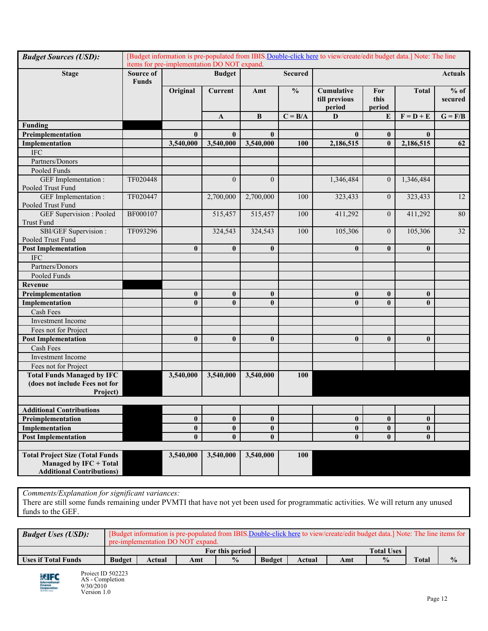| <b>Budget Sources (USD):</b>                         |                           | items for pre-implementation DO NOT expand. |                |                  |                | [Budget information is pre-populated from IBIS. Double-click here to view/create/edit budget data.] Note: The line |                       |              |                   |
|------------------------------------------------------|---------------------------|---------------------------------------------|----------------|------------------|----------------|--------------------------------------------------------------------------------------------------------------------|-----------------------|--------------|-------------------|
| <b>Stage</b>                                         | Source of<br><b>Funds</b> |                                             | <b>Budget</b>  |                  | <b>Secured</b> |                                                                                                                    |                       |              | <b>Actuals</b>    |
|                                                      |                           | Original                                    | <b>Current</b> | Amt              | $\frac{0}{0}$  | Cumulative<br>till previous<br>period                                                                              | For<br>this<br>period | <b>Total</b> | $%$ of<br>secured |
|                                                      |                           |                                             | A              | B                | $C = B/A$      | $\mathbf D$                                                                                                        | E                     | $F = D + E$  | $G = F/B$         |
| Funding                                              |                           |                                             |                |                  |                |                                                                                                                    |                       |              |                   |
| Preimplementation                                    |                           | $\bf{0}$                                    | $\bf{0}$       | $\bf{0}$         |                | $\bf{0}$                                                                                                           | $\bf{0}$              | $\bf{0}$     |                   |
| Implementation                                       |                           | 3,540,000                                   | 3,540,000      | 3,540,000        | 100            | 2,186,515                                                                                                          | $\mathbf{0}$          | 2,186,515    | 62                |
| $\rm IFC$                                            |                           |                                             |                |                  |                |                                                                                                                    |                       |              |                   |
| Partners/Donors                                      |                           |                                             |                |                  |                |                                                                                                                    |                       |              |                   |
| Pooled Funds                                         |                           |                                             |                |                  |                |                                                                                                                    |                       |              |                   |
| GEF Implementation :<br>Pooled Trust Fund            | TF020448                  |                                             | $\mathbf{0}$   | $\overline{0}$   |                | 1,346,484                                                                                                          | $\boldsymbol{0}$      | 1,346,484    |                   |
| GEF Implementation :<br>Pooled Trust Fund            | TF020447                  |                                             | 2,700,000      | 2,700,000        | 100            | 323,433                                                                                                            | $\overline{0}$        | 323,433      | 12                |
| <b>GEF</b> Supervision : Pooled<br><b>Trust Fund</b> | BF000107                  |                                             | 515,457        | 515,457          | 100            | 411,292                                                                                                            | $\overline{0}$        | 411,292      | 80                |
| SBI/GEF Supervision :<br>Pooled Trust Fund           | TF093296                  |                                             | 324,543        | 324,543          | 100            | 105,306                                                                                                            | $\overline{0}$        | 105,306      | 32                |
| <b>Post Implementation</b>                           |                           | $\bf{0}$                                    | $\bf{0}$       | $\bf{0}$         |                | $\bf{0}$                                                                                                           | $\bf{0}$              | $\bf{0}$     |                   |
| <b>IFC</b>                                           |                           |                                             |                |                  |                |                                                                                                                    |                       |              |                   |
| Partners/Donors                                      |                           |                                             |                |                  |                |                                                                                                                    |                       |              |                   |
| Pooled Funds                                         |                           |                                             |                |                  |                |                                                                                                                    |                       |              |                   |
| Revenue                                              |                           |                                             |                |                  |                |                                                                                                                    |                       |              |                   |
| Preimplementation                                    |                           | $\bf{0}$                                    | $\bf{0}$       | $\bf{0}$         |                | $\bf{0}$                                                                                                           | $\bf{0}$              | $\bf{0}$     |                   |
| Implementation                                       |                           | $\bf{0}$                                    | $\mathbf{0}$   | $\bf{0}$         |                | $\bf{0}$                                                                                                           | $\bf{0}$              | $\bf{0}$     |                   |
| Cash Fees                                            |                           |                                             |                |                  |                |                                                                                                                    |                       |              |                   |
| <b>Investment Income</b>                             |                           |                                             |                |                  |                |                                                                                                                    |                       |              |                   |
| Fees not for Project                                 |                           |                                             |                |                  |                |                                                                                                                    |                       |              |                   |
| <b>Post Implementation</b>                           |                           | $\bf{0}$                                    | $\bf{0}$       | $\bf{0}$         |                | $\bf{0}$                                                                                                           | $\bf{0}$              | $\bf{0}$     |                   |
| Cash Fees                                            |                           |                                             |                |                  |                |                                                                                                                    |                       |              |                   |
| <b>Investment Income</b>                             |                           |                                             |                |                  |                |                                                                                                                    |                       |              |                   |
| Fees not for Project                                 |                           |                                             |                |                  |                |                                                                                                                    |                       |              |                   |
| <b>Total Funds Managed by IFC</b>                    |                           | 3,540,000                                   | 3,540,000      | 3,540,000        | 100            |                                                                                                                    |                       |              |                   |
| (does not include Fees not for                       |                           |                                             |                |                  |                |                                                                                                                    |                       |              |                   |
| Project)                                             |                           |                                             |                |                  |                |                                                                                                                    |                       |              |                   |
| <b>Additional Contributions</b>                      |                           |                                             |                |                  |                |                                                                                                                    |                       |              |                   |
| Preimplementation                                    |                           | $\bf{0}$                                    | $\bf{0}$       | $\bf{0}$         |                | $\boldsymbol{0}$                                                                                                   | $\bf{0}$              | $\bf{0}$     |                   |
| Implementation                                       |                           | $\bf{0}$                                    | $\bf{0}$       | $\pmb{0}$        |                | $\bf{0}$                                                                                                           | $\bf{0}$              | $\mathbf{0}$ |                   |
| <b>Post Implementation</b>                           |                           | $\bf{0}$                                    | $\mathbf{0}$   | $\boldsymbol{0}$ |                | $\bf{0}$                                                                                                           | $\bf{0}$              | $\mathbf{0}$ |                   |
|                                                      |                           |                                             |                |                  |                |                                                                                                                    |                       |              |                   |
| <b>Total Project Size (Total Funds</b>               |                           | 3,540,000                                   | 3,540,000      | 3,540,000        | <b>100</b>     |                                                                                                                    |                       |              |                   |
| Managed by IFC + Total                               |                           |                                             |                |                  |                |                                                                                                                    |                       |              |                   |
| <b>Additional Contributions)</b>                     |                           |                                             |                |                  |                |                                                                                                                    |                       |              |                   |

*Comments/Explanation for significant variances:*

There are still some funds remaining under PVMTI that have not yet been used for programmatic activities. We will return any unused funds to the GEF.

| <b>Budget Uses (USD):</b>  |               | [Budget information is pre-populated from IBIS.Double-click here to view/create/edit budget data.] Note: The line items for<br>pre-implementation DO NOT expand. |     |                 |               |        |     |                   |              |               |  |  |  |
|----------------------------|---------------|------------------------------------------------------------------------------------------------------------------------------------------------------------------|-----|-----------------|---------------|--------|-----|-------------------|--------------|---------------|--|--|--|
|                            |               |                                                                                                                                                                  |     | For this period |               |        |     | <b>Total Uses</b> |              |               |  |  |  |
| <b>Uses if Total Funds</b> | <b>Budget</b> | Actual                                                                                                                                                           | Amt | $\frac{0}{0}$   | <b>Budget</b> | Actual | Amt | $\frac{0}{0}$     | <b>Total</b> | $\frac{0}{0}$ |  |  |  |

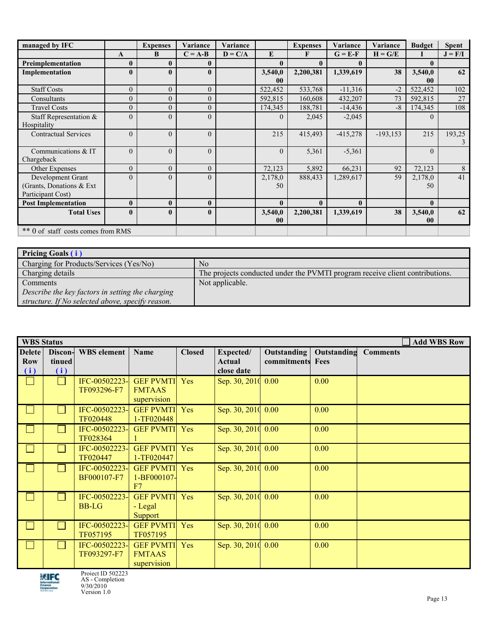| managed by IFC                     |              | <b>Expenses</b> | Variance       | Variance  |                | <b>Expenses</b> | Variance     | Variance    | <b>Budget</b> | <b>Spent</b>   |
|------------------------------------|--------------|-----------------|----------------|-----------|----------------|-----------------|--------------|-------------|---------------|----------------|
|                                    | A            | B               | $C = A-B$      | $D = C/A$ | E              | F               | $G = E-F$    | $H = G/E$   |               | $J = F/I$      |
| Preimplementation                  | $\mathbf{0}$ | $\mathbf{0}$    | 0              |           | $\mathbf{0}$   | $\mathbf{0}$    | 0            |             | $\mathbf{0}$  |                |
| Implementation                     | $\mathbf{0}$ | $\mathbf{0}$    | $\mathbf{0}$   |           | 3,540,0        | 2,200,381       | 1,339,619    | 38          | 3,540,0       | 62             |
|                                    |              |                 |                |           | $\bf{00}$      |                 |              |             | $\bf{00}$     |                |
| <b>Staff Costs</b>                 | $\mathbf{0}$ | $\overline{0}$  | $\overline{0}$ |           | 522,452        | 533,768         | $-11,316$    | $-2$        | 522,452       | 102            |
| Consultants                        | $\mathbf{0}$ | $\overline{0}$  | $\overline{0}$ |           | 592,815        | 160,608         | 432,207      | 73          | 592,815       | 27             |
| <b>Travel Costs</b>                | $\mathbf{0}$ | $\overline{0}$  | $\overline{0}$ |           | 174,345        | 188,781         | $-14,436$    | $-8$        | 174,345       | 108            |
| Staff Representation &             | $\Omega$     | $\mathbf{0}$    | $\Omega$       |           | $\overline{0}$ | 2,045           | $-2,045$     |             | $\Omega$      |                |
| Hospitality                        |              |                 |                |           |                |                 |              |             |               |                |
| <b>Contractual Services</b>        | $\theta$     | $\mathbf{0}$    | $\overline{0}$ |           | 215            | 415,493         | $-415,278$   | $-193, 153$ | 215           | 193,25         |
|                                    |              |                 |                |           |                |                 |              |             |               | 3              |
| Communications & IT                | $\Omega$     | $\theta$        | $\theta$       |           | $\Omega$       | 5,361           | $-5,361$     |             | $\theta$      |                |
| Chargeback                         |              |                 |                |           |                |                 |              |             |               |                |
| Other Expenses                     | $\theta$     | $\theta$        | $\Omega$       |           | 72,123         | 5,892           | 66,231       | 92          | 72,123        | $8\phantom{.}$ |
| Development Grant                  | $\theta$     | $\theta$        | $\Omega$       |           | 2,178,0        | 888,433         | 1,289,617    | 59          | 2,178,0       | 41             |
| (Grants, Donations & Ext           |              |                 |                |           | 50             |                 |              |             | 50            |                |
| Participant Cost)                  |              |                 |                |           |                |                 |              |             |               |                |
| <b>Post Implementation</b>         | $\mathbf{0}$ | $\bf{0}$        | $\mathbf{0}$   |           | $\mathbf{0}$   | $\bf{0}$        | $\mathbf{0}$ |             | $\mathbf{0}$  |                |
| <b>Total Uses</b>                  | $\mathbf{0}$ | $\mathbf{0}$    | $\mathbf{0}$   |           | 3,540,0        | 2,200,381       | 1,339,619    | 38          | 3,540,0       | 62             |
|                                    |              |                 |                |           | 00             |                 |              |             | $\bf{00}$     |                |
| ** 0 of staff costs comes from RMS |              |                 |                |           |                |                 |              |             |               |                |

| <b>Pricing Goals (i)</b>                         |                                                                              |  |  |  |
|--------------------------------------------------|------------------------------------------------------------------------------|--|--|--|
| Charging for Products/Services (Yes/No)          | No                                                                           |  |  |  |
| Charging details                                 | The projects conducted under the PVMTI program receive client contributions. |  |  |  |
| <b>Comments</b>                                  | Not applicable.                                                              |  |  |  |
| Describe the key factors in setting the charging |                                                                              |  |  |  |
| structure. If No selected above, specify reason. |                                                                              |  |  |  |

| <b>WBS</b> Status           |                          |                               |                                                  |               |                                   | <b>Add WBS Row</b>         |                     |                 |  |
|-----------------------------|--------------------------|-------------------------------|--------------------------------------------------|---------------|-----------------------------------|----------------------------|---------------------|-----------------|--|
| <b>Delete</b><br>Row<br>(i) | Discon-<br>tinued<br>(i) | <b>WBS</b> element            | Name                                             | <b>Closed</b> | Expected/<br>Actual<br>close date | Outstanding<br>commitments | Outstanding<br>Fees | <b>Comments</b> |  |
|                             |                          | IFC-00502223-<br>TF093296-F7  | <b>GEF PVMTI</b><br><b>FMTAAS</b><br>supervision | Yes           | Sep. 30, 2010 0.00                |                            | 0.00                |                 |  |
|                             |                          | IFC-00502223-<br>TF020448     | <b>GEF PVMTI</b><br>1-TF020448                   | Yes           | Sep. 30, 2010 0.00                |                            | 0.00                |                 |  |
|                             |                          | IFC-00502223-<br>TF028364     | <b>GEF PVMTI</b>                                 | Yes           | Sep. 30, 2010 0.00                |                            | 0.00                |                 |  |
|                             |                          | IFC-00502223-<br>TF020447     | <b>GEF PVMTI</b><br>1-TF020447                   | Yes           | Sep. 30, 2010 0.00                |                            | 0.00                |                 |  |
|                             |                          | IFC-00502223-<br>BF000107-F7  | <b>GEF PVMTI</b><br>1-BF000107-<br>F7            | Yes           | Sep. 30, 2010 0.00                |                            | 0.00                |                 |  |
|                             |                          | IFC-00502223-<br><b>BB-LG</b> | <b>GEF PVMTI</b><br>- Legal<br>Support           | Yes           | Sep. 30, 2010 0.00                |                            | 0.00                |                 |  |
|                             |                          | IFC-00502223-<br>TF057195     | <b>GEF PVMTI</b><br>TF057195                     | Yes           | Sep. 30, 2010 0.00                |                            | 0.00                |                 |  |
|                             |                          | IFC-00502223-<br>TF093297-F7  | <b>GEF PVMTI</b><br><b>FMTAAS</b><br>supervision | Yes           | Sep. 30, 2010 0.00                |                            | 0.00                |                 |  |

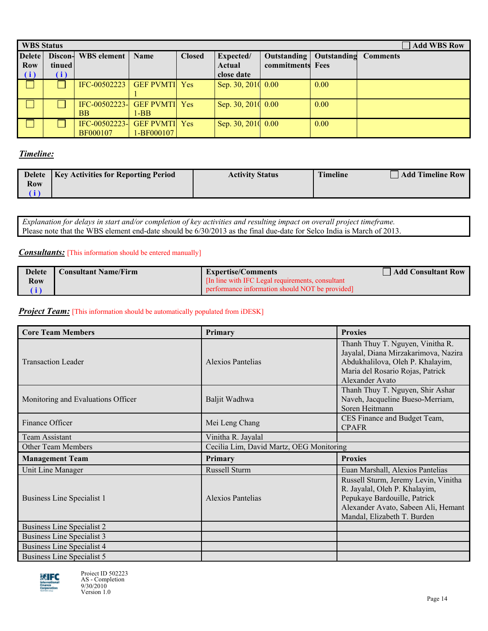|               | <b>Add WBS Row</b><br><b>WBS Status</b> |                                |                      |               |                    |                  |             |                 |
|---------------|-----------------------------------------|--------------------------------|----------------------|---------------|--------------------|------------------|-------------|-----------------|
| <b>Delete</b> | Discon-                                 | <b>WBS</b> element             | <b>Name</b>          | <b>Closed</b> | Expected/          | Outstanding      | Outstanding | <b>Comments</b> |
| <b>Row</b>    | tinued                                  |                                |                      |               | Actual             | commitments Fees |             |                 |
| (i)           | (i)                                     |                                |                      |               | close date         |                  |             |                 |
|               |                                         | IFC-00502223                   | <b>GEF PVMTI</b> Yes |               | Sep. 30, 2010 0.00 |                  | 0.00        |                 |
|               |                                         |                                |                      |               |                    |                  |             |                 |
|               |                                         | $[FC-00502223-]$ GEF PVMTI Yes |                      |               | Sep. 30, 2010 0.00 |                  | 0.00        |                 |
|               |                                         | BB.                            | $1-BB$               |               |                    |                  |             |                 |
|               |                                         | IFC-00502223-                  | <b>GEF PVMTI</b> Yes |               | Sep. 30, 2010 0.00 |                  | 0.00        |                 |
|               |                                         | BF000107                       | 1-BF000107           |               |                    |                  |             |                 |

## *Timeline:*

|     | Delete   Key Activities for Reporting Period | <b>Activity Status</b> | <b>Timeline</b> | <b>Add Timeline Row</b> |
|-----|----------------------------------------------|------------------------|-----------------|-------------------------|
| Row |                                              |                        |                 |                         |
|     |                                              |                        |                 |                         |

*Explanation for delays in start and/or completion of key activities and resulting impact on overall project timeframe.* Please note that the WBS element end-date should be 6/30/2013 as the final due-date for Selco India is March of 2013.

#### *Consultants:* [This information should be entered manually]

| <b>Delete</b> | <b>Consultant Name/Firm</b> | <b>Expertise/Comments</b>                         | <b>Add Consultant Row</b> |
|---------------|-----------------------------|---------------------------------------------------|---------------------------|
| Row           |                             | [In line with IFC Legal requirements, consultant] |                           |
|               |                             | performance information should NOT be provided    |                           |

### **Project Team:** [This information should be automatically populated from iDESK]

| <b>Core Team Members</b>           | Primary                                  | <b>Proxies</b>                                                                                                                                                              |  |
|------------------------------------|------------------------------------------|-----------------------------------------------------------------------------------------------------------------------------------------------------------------------------|--|
| <b>Transaction Leader</b>          | Alexios Pantelias                        | Thanh Thuy T. Nguyen, Vinitha R.<br>Jayalal, Diana Mirzakarimova, Nazira<br>Abdukhalilova, Oleh P. Khalayim,<br>Maria del Rosario Rojas, Patrick<br>Alexander Avato         |  |
| Monitoring and Evaluations Officer | Baljit Wadhwa                            | Thanh Thuy T. Nguyen, Shir Ashar<br>Naveh, Jacqueline Bueso-Merriam,<br>Soren Heitmann                                                                                      |  |
| Finance Officer                    | Mei Leng Chang                           | CES Finance and Budget Team,<br><b>CPAFR</b>                                                                                                                                |  |
| Team Assistant                     | Vinitha R. Jayalal                       |                                                                                                                                                                             |  |
| Other Team Members                 | Cecilia Lim, David Martz, OEG Monitoring |                                                                                                                                                                             |  |
| <b>Management Team</b>             | Primary                                  | <b>Proxies</b>                                                                                                                                                              |  |
| Unit Line Manager                  | Russell Sturm                            | Euan Marshall, Alexios Pantelias                                                                                                                                            |  |
| <b>Business Line Specialist 1</b>  | Alexios Pantelias                        | Russell Sturm, Jeremy Levin, Vinitha<br>R. Jayalal, Oleh P. Khalayim,<br>Pepukaye Bardouille, Patrick<br>Alexander Avato, Sabeen Ali, Hemant<br>Mandal, Elizabeth T. Burden |  |
| <b>Business Line Specialist 2</b>  |                                          |                                                                                                                                                                             |  |
| Business Line Specialist 3         |                                          |                                                                                                                                                                             |  |
| Business Line Specialist 4         |                                          |                                                                                                                                                                             |  |
| Business Line Specialist 5         |                                          |                                                                                                                                                                             |  |